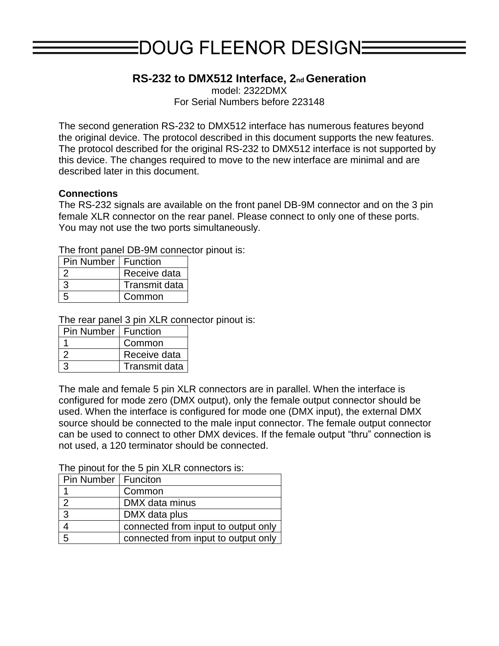# $EDOUG$  FLEENOR DESIGN $\equiv$

# **RS-232 to DMX512 Interface, 2nd Generation**

model: 2322DMX

For Serial Numbers before 223148

The second generation RS-232 to DMX512 interface has numerous features beyond the original device. The protocol described in this document supports the new features. The protocol described for the original RS-232 to DMX512 interface is not supported by this device. The changes required to move to the new interface are minimal and are described later in this document.

## **Connections**

The RS-232 signals are available on the front panel DB-9M connector and on the 3 pin female XLR connector on the rear panel. Please connect to only one of these ports. You may not use the two ports simultaneously.

The front panel DB-9M connector pinout is:

| <b>Pin Number   Function</b> |                      |
|------------------------------|----------------------|
|                              | Receive data         |
|                              | <b>Transmit data</b> |
|                              | Common               |

The rear panel 3 pin XLR connector pinout is:

| <b>Pin Number   Function</b> |                      |
|------------------------------|----------------------|
|                              | Common               |
|                              | Receive data         |
|                              | <b>Transmit data</b> |

The male and female 5 pin XLR connectors are in parallel. When the interface is configured for mode zero (DMX output), only the female output connector should be used. When the interface is configured for mode one (DMX input), the external DMX source should be connected to the male input connector. The female output connector can be used to connect to other DMX devices. If the female output "thru" connection is not used, a 120 terminator should be connected.

The pinout for the 5 pin XLR connectors is:

| Pin Number   Funciton |                                     |
|-----------------------|-------------------------------------|
|                       | Common                              |
| $\mathcal{P}$         | DMX data minus                      |
| 3                     | DMX data plus                       |
|                       | connected from input to output only |
| 5                     | connected from input to output only |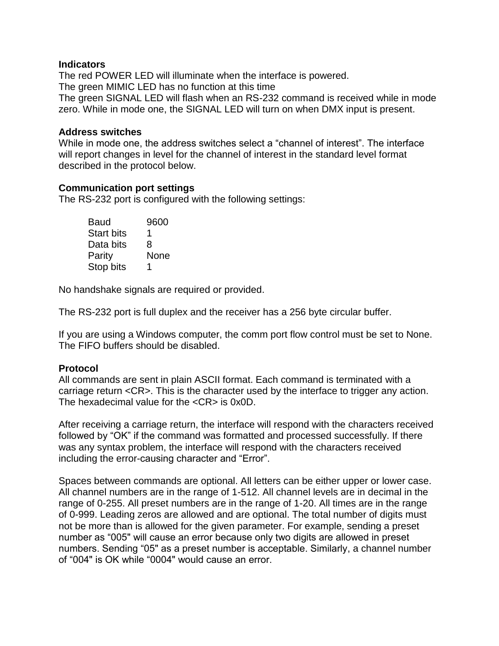#### **Indicators**

The red POWER LED will illuminate when the interface is powered. The green MIMIC LED has no function at this time The green SIGNAL LED will flash when an RS-232 command is received while in mode zero. While in mode one, the SIGNAL LED will turn on when DMX input is present.

#### **Address switches**

While in mode one, the address switches select a "channel of interest". The interface will report changes in level for the channel of interest in the standard level format described in the protocol below.

### **Communication port settings**

The RS-232 port is configured with the following settings:

| Baud              | 9600 |
|-------------------|------|
| <b>Start bits</b> | 1    |
| Data bits         | 8    |
| Parity            | None |
| Stop bits         | 1    |

No handshake signals are required or provided.

The RS-232 port is full duplex and the receiver has a 256 byte circular buffer.

If you are using a Windows computer, the comm port flow control must be set to None. The FIFO buffers should be disabled.

## **Protocol**

All commands are sent in plain ASCII format. Each command is terminated with a carriage return <CR>. This is the character used by the interface to trigger any action. The hexadecimal value for the <CR> is 0x0D.

After receiving a carriage return, the interface will respond with the characters received followed by "OK" if the command was formatted and processed successfully. If there was any syntax problem, the interface will respond with the characters received including the error-causing character and "Error".

Spaces between commands are optional. All letters can be either upper or lower case. All channel numbers are in the range of 1-512. All channel levels are in decimal in the range of 0-255. All preset numbers are in the range of 1-20. All times are in the range of 0-999. Leading zeros are allowed and are optional. The total number of digits must not be more than is allowed for the given parameter. For example, sending a preset number as "005" will cause an error because only two digits are allowed in preset numbers. Sending "05" as a preset number is acceptable. Similarly, a channel number of "004" is OK while "0004" would cause an error.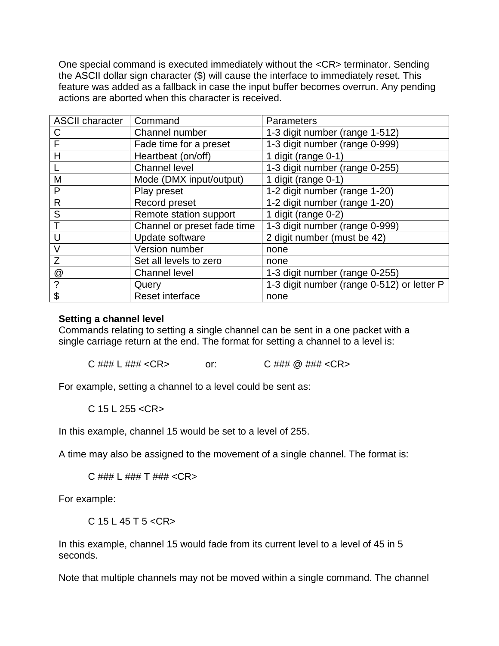One special command is executed immediately without the <CR> terminator. Sending the ASCII dollar sign character (\$) will cause the interface to immediately reset. This feature was added as a fallback in case the input buffer becomes overrun. Any pending actions are aborted when this character is received.

| <b>ASCII character</b> | Command                     | Parameters                                 |
|------------------------|-----------------------------|--------------------------------------------|
| C                      | Channel number              | 1-3 digit number (range 1-512)             |
| F                      | Fade time for a preset      | 1-3 digit number (range 0-999)             |
| Н                      | Heartbeat (on/off)          | 1 digit (range 0-1)                        |
|                        | <b>Channel level</b>        | 1-3 digit number (range 0-255)             |
| M                      | Mode (DMX input/output)     | 1 digit (range 0-1)                        |
| P                      | Play preset                 | 1-2 digit number (range 1-20)              |
| R                      | Record preset               | 1-2 digit number (range 1-20)              |
| S                      | Remote station support      | 1 digit (range 0-2)                        |
|                        | Channel or preset fade time | 1-3 digit number (range 0-999)             |
|                        | Update software             | 2 digit number (must be 42)                |
| V                      | Version number              | none                                       |
| Z                      | Set all levels to zero      | none                                       |
| @                      | <b>Channel level</b>        | 1-3 digit number (range 0-255)             |
| ?                      | Query                       | 1-3 digit number (range 0-512) or letter P |
| \$                     | Reset interface             | none                                       |

### **Setting a channel level**

Commands relating to setting a single channel can be sent in a one packet with a single carriage return at the end. The format for setting a channel to a level is:

C ### L ### <CR> or: C ### @ ### <CR>

For example, setting a channel to a level could be sent as:

C 15 L 255 <CR>

In this example, channel 15 would be set to a level of 255.

A time may also be assigned to the movement of a single channel. The format is:

C  $\# \# \# L \# \# \# T \# \# \# \ <\text{CR}$ 

For example:

C 15 L 45 T 5 <CR>

In this example, channel 15 would fade from its current level to a level of 45 in 5 seconds.

Note that multiple channels may not be moved within a single command. The channel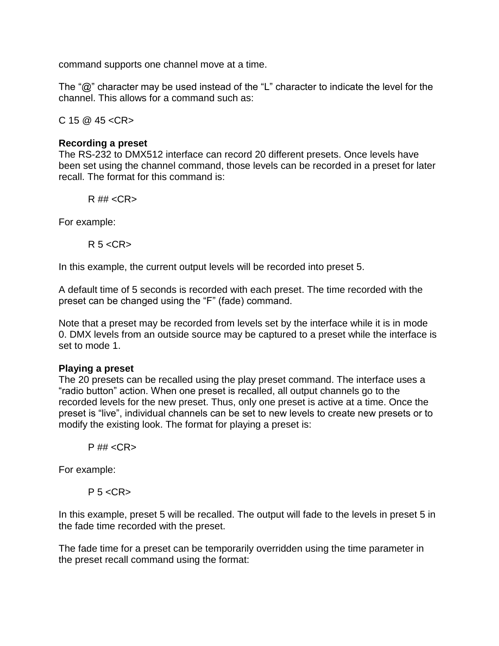command supports one channel move at a time.

The "@" character may be used instead of the "L" character to indicate the level for the channel. This allows for a command such as:

 $C$  15  $@$  45 <  $CR$  >

### **Recording a preset**

The RS-232 to DMX512 interface can record 20 different presets. Once levels have been set using the channel command, those levels can be recorded in a preset for later recall. The format for this command is:

 $R$ ## < $CR$ >

For example:

 $R$  5 <  $CR$  >

In this example, the current output levels will be recorded into preset 5.

A default time of 5 seconds is recorded with each preset. The time recorded with the preset can be changed using the "F" (fade) command.

Note that a preset may be recorded from levels set by the interface while it is in mode 0. DMX levels from an outside source may be captured to a preset while the interface is set to mode 1.

## **Playing a preset**

The 20 presets can be recalled using the play preset command. The interface uses a "radio button" action. When one preset is recalled, all output channels go to the recorded levels for the new preset. Thus, only one preset is active at a time. Once the preset is "live", individual channels can be set to new levels to create new presets or to modify the existing look. The format for playing a preset is:

 $P$ ## <CR>

For example:

 $P<sub>5</sub> < CR$ 

In this example, preset 5 will be recalled. The output will fade to the levels in preset 5 in the fade time recorded with the preset.

The fade time for a preset can be temporarily overridden using the time parameter in the preset recall command using the format: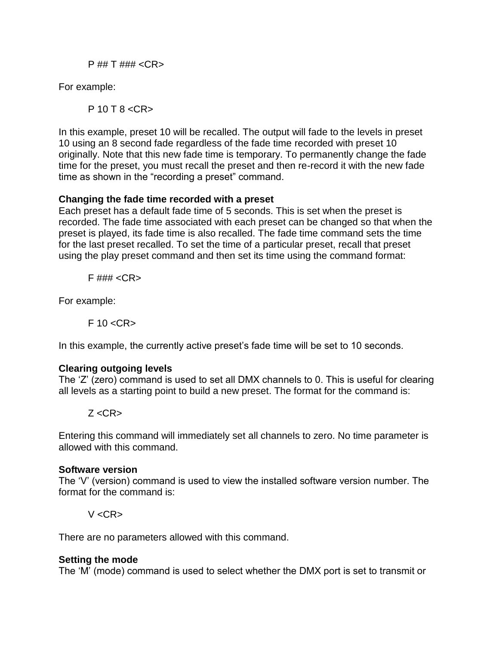P ## T ### <CR>

For example:

P 10 T 8 <CR>

In this example, preset 10 will be recalled. The output will fade to the levels in preset 10 using an 8 second fade regardless of the fade time recorded with preset 10 originally. Note that this new fade time is temporary. To permanently change the fade time for the preset, you must recall the preset and then re-record it with the new fade time as shown in the "recording a preset" command.

## **Changing the fade time recorded with a preset**

Each preset has a default fade time of 5 seconds. This is set when the preset is recorded. The fade time associated with each preset can be changed so that when the preset is played, its fade time is also recalled. The fade time command sets the time for the last preset recalled. To set the time of a particular preset, recall that preset using the play preset command and then set its time using the command format:

 $F$ ### <CR>

For example:

 $F$  10  $<$ CR $>$ 

In this example, the currently active preset's fade time will be set to 10 seconds.

# **Clearing outgoing levels**

The 'Z' (zero) command is used to set all DMX channels to 0. This is useful for clearing all levels as a starting point to build a new preset. The format for the command is:

# $Z < CR$

Entering this command will immediately set all channels to zero. No time parameter is allowed with this command.

## **Software version**

The 'V' (version) command is used to view the installed software version number. The format for the command is:

 $V$  <CR $>$ 

There are no parameters allowed with this command.

## **Setting the mode**

The 'M' (mode) command is used to select whether the DMX port is set to transmit or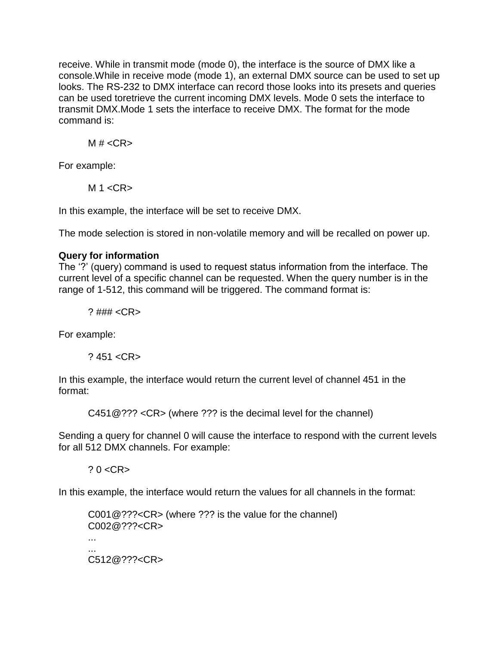receive. While in transmit mode (mode 0), the interface is the source of DMX like a console.While in receive mode (mode 1), an external DMX source can be used to set up looks. The RS-232 to DMX interface can record those looks into its presets and queries can be used toretrieve the current incoming DMX levels. Mode 0 sets the interface to transmit DMX.Mode 1 sets the interface to receive DMX. The format for the mode command is:

 $M # < C$ R

For example:

 $M 1 < CR$ 

In this example, the interface will be set to receive DMX.

The mode selection is stored in non-volatile memory and will be recalled on power up.

# **Query for information**

The '?' (query) command is used to request status information from the interface. The current level of a specific channel can be requested. When the query number is in the range of 1-512, this command will be triggered. The command format is:

? ### <CR>

For example:

? 451 <CR>

In this example, the interface would return the current level of channel 451 in the format:

C451@??? <CR> (where ??? is the decimal level for the channel)

Sending a query for channel 0 will cause the interface to respond with the current levels for all 512 DMX channels. For example:

 $? 0 < CR$ 

In this example, the interface would return the values for all channels in the format:

C001@???<CR> (where ??? is the value for the channel) C002@???<CR> ... ... C512@???<CR>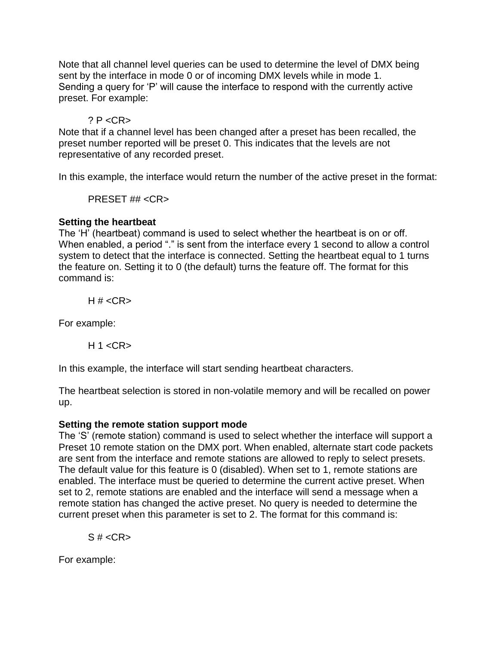Note that all channel level queries can be used to determine the level of DMX being sent by the interface in mode 0 or of incoming DMX levels while in mode 1. Sending a query for 'P' will cause the interface to respond with the currently active preset. For example:

## $? P < CR$

Note that if a channel level has been changed after a preset has been recalled, the preset number reported will be preset 0. This indicates that the levels are not representative of any recorded preset.

In this example, the interface would return the number of the active preset in the format:

PRESET ## <CR>

## **Setting the heartbeat**

The 'H' (heartbeat) command is used to select whether the heartbeat is on or off. When enabled, a period "." is sent from the interface every 1 second to allow a control system to detect that the interface is connected. Setting the heartbeat equal to 1 turns the feature on. Setting it to 0 (the default) turns the feature off. The format for this command is:

H  $# <$ CR $>$ 

For example:

 $H 1 < CR$ 

In this example, the interface will start sending heartbeat characters.

The heartbeat selection is stored in non-volatile memory and will be recalled on power up.

## **Setting the remote station support mode**

The 'S' (remote station) command is used to select whether the interface will support a Preset 10 remote station on the DMX port. When enabled, alternate start code packets are sent from the interface and remote stations are allowed to reply to select presets. The default value for this feature is 0 (disabled). When set to 1, remote stations are enabled. The interface must be queried to determine the current active preset. When set to 2, remote stations are enabled and the interface will send a message when a remote station has changed the active preset. No query is needed to determine the current preset when this parameter is set to 2. The format for this command is:

 $S \# <$ CR $>$ 

For example: